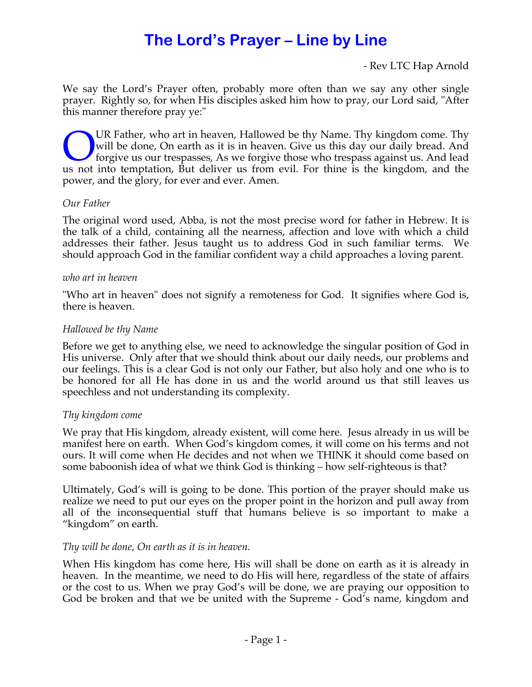# **The Lord's Prayer – Line by Line**

- Rev LTC Hap Arnold

We say the Lord's Prayer often, probably more often than we say any other single prayer. Rightly so, for when His disciples asked him how to pray, our Lord said, "After this manner therefore pray ye:"

UR Father, who art in heaven, Hallowed be thy Name. Thy kingdom come. Thy will be done, On earth as it is in heaven. Give us this day our daily bread. And forgive us our trespasses, As we forgive those who trespass against us. And lead UR Father, who art in heaven, Hallowed be thy Name. Thy kingdom come. Thy will be done, On earth as it is in heaven. Give us this day our daily bread. And forgive us our trespasses, As we forgive those who trespass against power, and the glory, for ever and ever. Amen.

## *Our Father*

The original word used, Abba, is not the most precise word for father in Hebrew. It is the talk of a child, containing all the nearness, affection and love with which a child addresses their father. Jesus taught us to address God in such familiar terms. We should approach God in the familiar confident way a child approaches a loving parent.

#### *who art in heaven*

"Who art in heaven" does not signify a remoteness for God. It signifies where God is, there is heaven.

## *Hallowed be thy Name*

Before we get to anything else, we need to acknowledge the singular position of God in His universe. Only after that we should think about our daily needs, our problems and our feelings. This is a clear God is not only our Father, but also holy and one who is to be honored for all He has done in us and the world around us that still leaves us speechless and not understanding its complexity.

## *Thy kingdom come*

We pray that His kingdom, already existent, will come here. Jesus already in us will be manifest here on earth. When God's kingdom comes, it will come on his terms and not ours. It will come when He decides and not when we THINK it should come based on some baboonish idea of what we think God is thinking – how self-righteous is that?

Ultimately, God's will is going to be done. This portion of the prayer should make us realize we need to put our eyes on the proper point in the horizon and pull away from all of the inconsequential stuff that humans believe is so important to make a "kingdom" on earth.

## *Thy will be done, On earth as it is in heaven.*

When His kingdom has come here, His will shall be done on earth as it is already in heaven. In the meantime, we need to do His will here, regardless of the state of affairs or the cost to us. When we pray God's will be done, we are praying our opposition to God be broken and that we be united with the Supreme - God's name, kingdom and